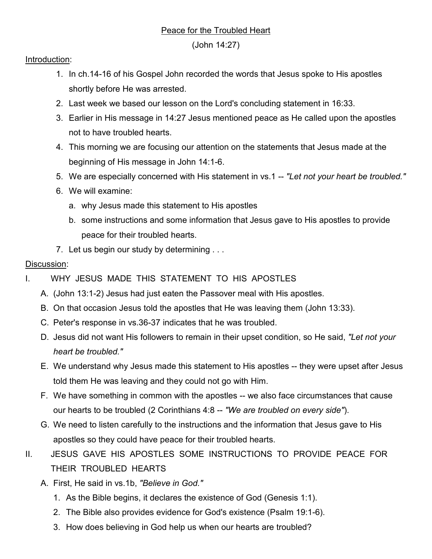## Peace for the Troubled Heart

(John 14:27)

## Introduction:

- 1. In ch.14-16 of his Gospel John recorded the words that Jesus spoke to His apostles shortly before He was arrested.
- 2. Last week we based our lesson on the Lord's concluding statement in 16:33.
- 3. Earlier in His message in 14:27 Jesus mentioned peace as He called upon the apostles not to have troubled hearts.
- 4. This morning we are focusing our attention on the statements that Jesus made at the beginning of His message in John 14:1-6.
- 5. We are especially concerned with His statement in vs.1 -- *"Let not your heart be troubled."*
- 6. We will examine:
	- a. why Jesus made this statement to His apostles
	- b. some instructions and some information that Jesus gave to His apostles to provide peace for their troubled hearts.
- 7. Let us begin our study by determining . . .

## Discussion:

- I. WHY JESUS MADE THIS STATEMENT TO HIS APOSTLES
	- A. (John 13:1-2) Jesus had just eaten the Passover meal with His apostles.
	- B. On that occasion Jesus told the apostles that He was leaving them (John 13:33).
	- C. Peter's response in vs.36-37 indicates that he was troubled.
	- D. Jesus did not want His followers to remain in their upset condition, so He said, *"Let not your heart be troubled."*
	- E. We understand why Jesus made this statement to His apostles -- they were upset after Jesus told them He was leaving and they could not go with Him.
	- F. We have something in common with the apostles -- we also face circumstances that cause our hearts to be troubled (2 Corinthians 4:8 -- *"We are troubled on every side"*).
	- G. We need to listen carefully to the instructions and the information that Jesus gave to His apostles so they could have peace for their troubled hearts.
- II. JESUS GAVE HIS APOSTLES SOME INSTRUCTIONS TO PROVIDE PEACE FOR THEIR TROUBLED HEARTS
	- A. First, He said in vs.1b, *"Believe in God."*
		- 1. As the Bible begins, it declares the existence of God (Genesis 1:1).
		- 2. The Bible also provides evidence for God's existence (Psalm 19:1-6).
		- 3. How does believing in God help us when our hearts are troubled?